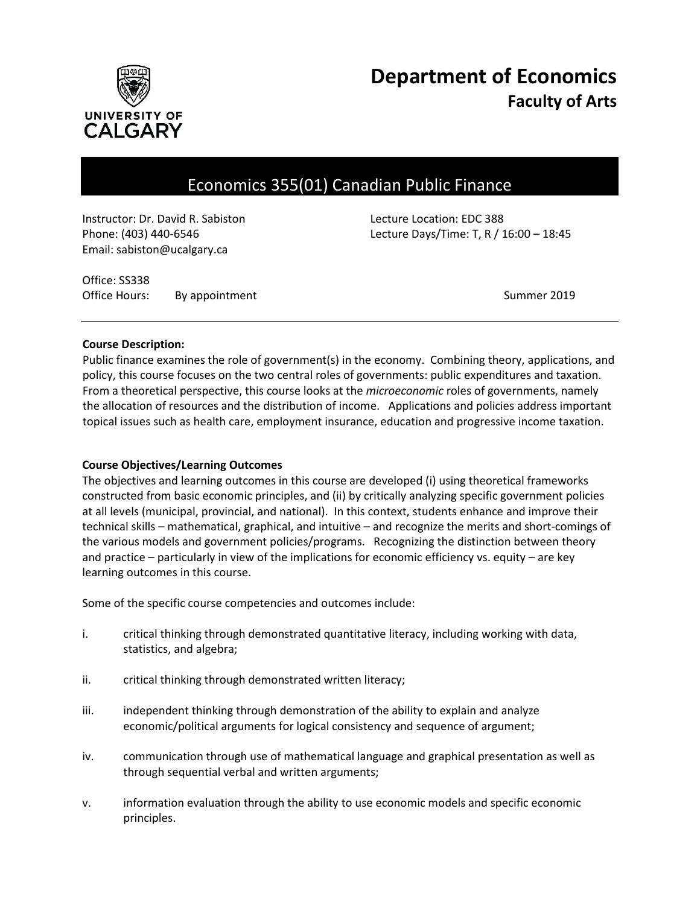

# **Department of Economics Faculty of Arts**

# Economics 355(01) Canadian Public Finance

Instructor: Dr. David R. Sabiston Lecture Location: EDC 388 Email: sabiston@ucalgary.ca

Phone: (403) 440-6546 Lecture Days/Time: T, R / 16:00 – 18:45

Office: SS338 Office Hours: By appointment Communication of the Summer 2019

#### **Course Description:**

Public finance examines the role of government(s) in the economy. Combining theory, applications, and policy, this course focuses on the two central roles of governments: public expenditures and taxation. From a theoretical perspective, this course looks at the *microeconomic* roles of governments, namely the allocation of resources and the distribution of income. Applications and policies address important topical issues such as health care, employment insurance, education and progressive income taxation.

#### **Course Objectives/Learning Outcomes**

The objectives and learning outcomes in this course are developed (i) using theoretical frameworks constructed from basic economic principles, and (ii) by critically analyzing specific government policies at all levels (municipal, provincial, and national). In this context, students enhance and improve their technical skills – mathematical, graphical, and intuitive – and recognize the merits and short-comings of the various models and government policies/programs. Recognizing the distinction between theory and practice – particularly in view of the implications for economic efficiency vs. equity – are key learning outcomes in this course.

Some of the specific course competencies and outcomes include:

- i. critical thinking through demonstrated quantitative literacy, including working with data, statistics, and algebra;
- ii. critical thinking through demonstrated written literacy;
- iii. independent thinking through demonstration of the ability to explain and analyze economic/political arguments for logical consistency and sequence of argument;
- iv. communication through use of mathematical language and graphical presentation as well as through sequential verbal and written arguments;
- v. information evaluation through the ability to use economic models and specific economic principles.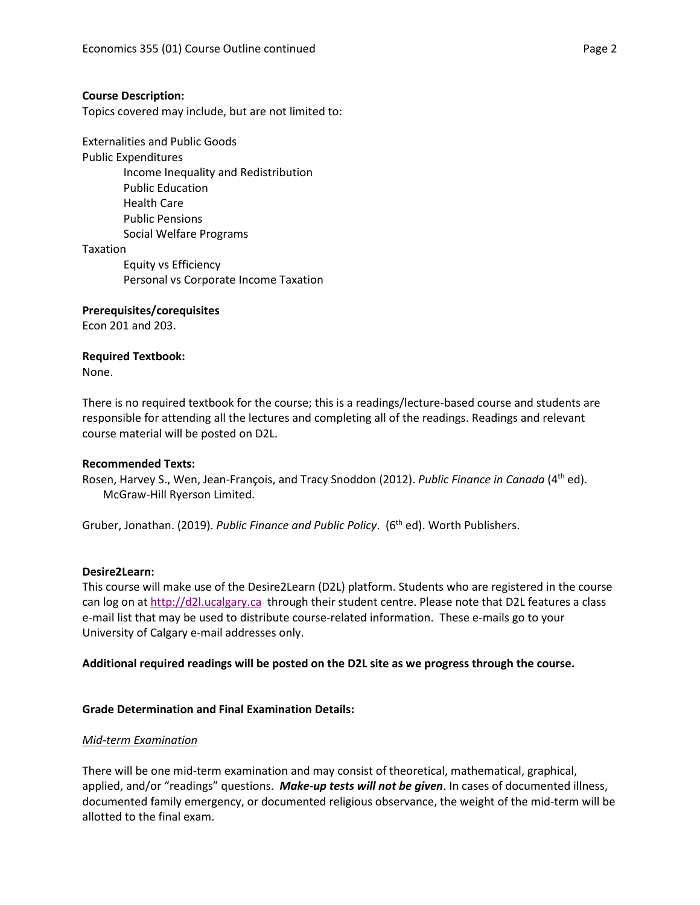#### **Course Description:**

Topics covered may include, but are not limited to:

Externalities and Public Goods Public Expenditures Income Inequality and Redistribution Public Education Health Care Public Pensions Social Welfare Programs Taxation Equity vs Efficiency Personal vs Corporate Income Taxation

#### **Prerequisites/corequisites**

Econ 201 and 203.

#### **Required Textbook:**

None.

There is no required textbook for the course; this is a readings/lecture-based course and students are responsible for attending all the lectures and completing all of the readings. Readings and relevant course material will be posted on D2L.

#### **Recommended Texts:**

Rosen, Harvey S., Wen, Jean-François, and Tracy Snoddon (2012). *Public Finance in Canada* (4th ed). McGraw-Hill Ryerson Limited.

Gruber, Jonathan. (2019). *Public Finance and Public Policy*. (6<sup>th</sup> ed). Worth Publishers.

#### **Desire2Learn:**

This course will make use of the Desire2Learn (D2L) platform. Students who are registered in the course can log on a[t http://d2l.ucalgary.ca](http://d2l.ucalgary.ca/) through their student centre. Please note that D2L features a class e-mail list that may be used to distribute course-related information. These e-mails go to your University of Calgary e-mail addresses only.

#### **Additional required readings will be posted on the D2L site as we progress through the course.**

#### **Grade Determination and Final Examination Details:**

#### *Mid-term Examination*

There will be one mid-term examination and may consist of theoretical, mathematical, graphical, applied, and/or "readings" questions. *Make-up tests will not be given*. In cases of documented illness, documented family emergency, or documented religious observance, the weight of the mid-term will be allotted to the final exam.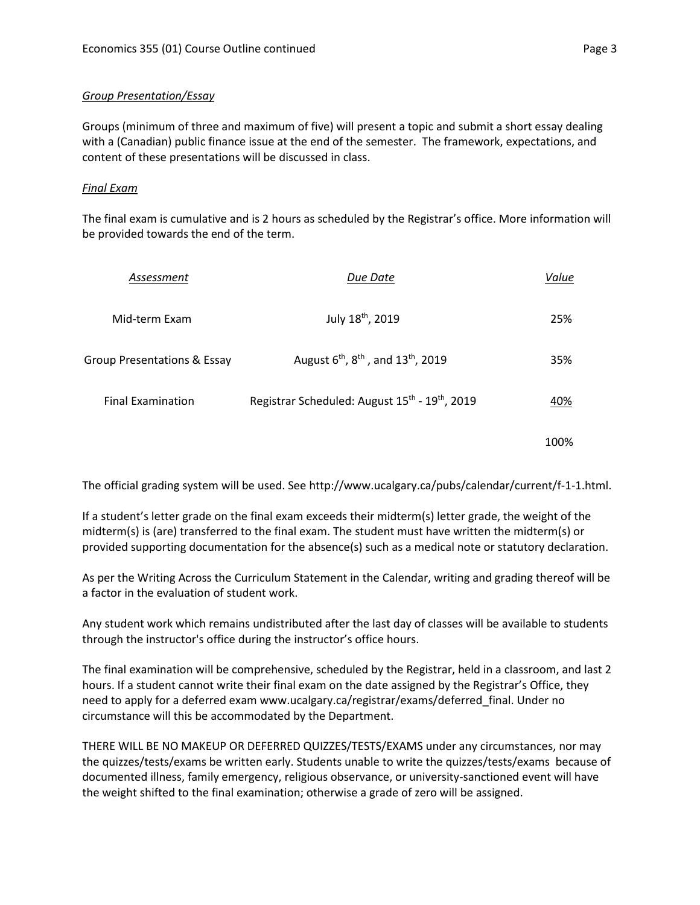### *Group Presentation/Essay*

Groups (minimum of three and maximum of five) will present a topic and submit a short essay dealing with a (Canadian) public finance issue at the end of the semester. The framework, expectations, and content of these presentations will be discussed in class.

#### *Final Exam*

The final exam is cumulative and is 2 hours as scheduled by the Registrar's office. More information will be provided towards the end of the term.

| Assessment                  | Due Date                                                               | Value |
|-----------------------------|------------------------------------------------------------------------|-------|
| Mid-term Exam               | July 18th, 2019                                                        | 25%   |
| Group Presentations & Essay | August 6 <sup>th</sup> , 8 <sup>th</sup> , and 13 <sup>th</sup> , 2019 | 35%   |
| <b>Final Examination</b>    | Registrar Scheduled: August 15 <sup>th</sup> - 19 <sup>th</sup> , 2019 | 40%   |
|                             |                                                                        |       |

The official grading system will be used. See http://www.ucalgary.ca/pubs/calendar/current/f-1-1.html.

If a student's letter grade on the final exam exceeds their midterm(s) letter grade, the weight of the midterm(s) is (are) transferred to the final exam. The student must have written the midterm(s) or provided supporting documentation for the absence(s) such as a medical note or statutory declaration.

As per the Writing Across the Curriculum Statement in the Calendar, writing and grading thereof will be a factor in the evaluation of student work.

Any student work which remains undistributed after the last day of classes will be available to students through the instructor's office during the instructor's office hours.

The final examination will be comprehensive, scheduled by the Registrar, held in a classroom, and last 2 hours. If a student cannot write their final exam on the date assigned by the Registrar's Office, they need to apply for a deferred exam www.ucalgary.ca/registrar/exams/deferred\_final. Under no circumstance will this be accommodated by the Department.

THERE WILL BE NO MAKEUP OR DEFERRED QUIZZES/TESTS/EXAMS under any circumstances, nor may the quizzes/tests/exams be written early. Students unable to write the quizzes/tests/exams because of documented illness, family emergency, religious observance, or university-sanctioned event will have the weight shifted to the final examination; otherwise a grade of zero will be assigned.

100%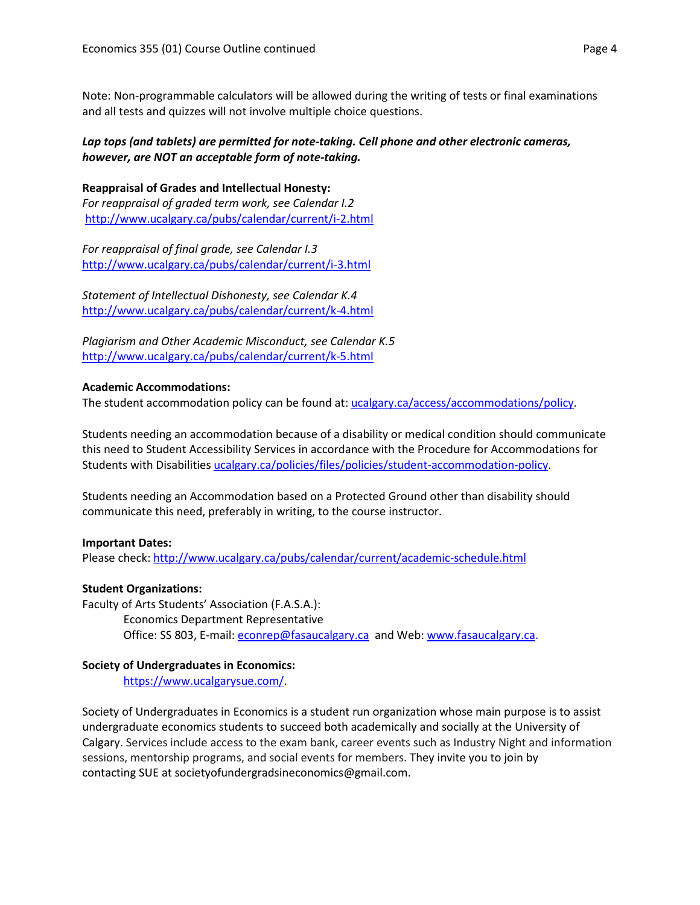Note: Non-programmable calculators will be allowed during the writing of tests or final examinations and all tests and quizzes will not involve multiple choice questions.

# *Lap tops (and tablets) are permitted for note-taking. Cell phone and other electronic cameras, however, are NOT an acceptable form of note-taking.*

**Reappraisal of Grades and Intellectual Honesty:** *For reappraisal of graded term work, see Calendar I.2* <http://www.ucalgary.ca/pubs/calendar/current/i-2.html>

*For reappraisal of final grade, see Calendar I.3* <http://www.ucalgary.ca/pubs/calendar/current/i-3.html>

*Statement of Intellectual Dishonesty, see Calendar K.4* <http://www.ucalgary.ca/pubs/calendar/current/k-4.html>

*Plagiarism and Other Academic Misconduct, see Calendar K.5* <http://www.ucalgary.ca/pubs/calendar/current/k-5.html>

# **Academic Accommodations:**

The student accommodation policy can be found at: [ucalgary.ca/access/accommodations/policy.](http://www.ucalgary.ca/access/accommodations/policy)

Students needing an accommodation because of a disability or medical condition should communicate this need to Student Accessibility Services in accordance with the Procedure for Accommodations for Students with Disabilities [ucalgary.ca/policies/files/policies/student-accommodation-policy.](http://www.ucalgary.ca/policies/files/policies/student-accommodation-policy.pdf)

Students needing an Accommodation based on a Protected Ground other than disability should communicate this need, preferably in writing, to the course instructor.

# **Important Dates:**

Please check:<http://www.ucalgary.ca/pubs/calendar/current/academic-schedule.html>

# **Student Organizations:**

Faculty of Arts Students' Association (F.A.S.A.): Economics Department Representative Office: SS 803, E-mail: [econrep@fasaucalgary.ca](mailto:econrep@fasaucalgary.ca) and Web[: www.fasaucalgary.ca.](http://www.fasaucalgary.ca/)

# **Society of Undergraduates in Economics:**

[https://www.ucalgarysue.com/.](https://www.ucalgarysue.com/)

Society of Undergraduates in Economics is a student run organization whose main purpose is to assist undergraduate economics students to succeed both academically and socially at the University of Calgary. Services include access to the exam bank, career events such as Industry Night and information sessions, mentorship programs, and social events for members. They invite you to join by contacting SUE at societyofundergradsineconomics@gmail.com.